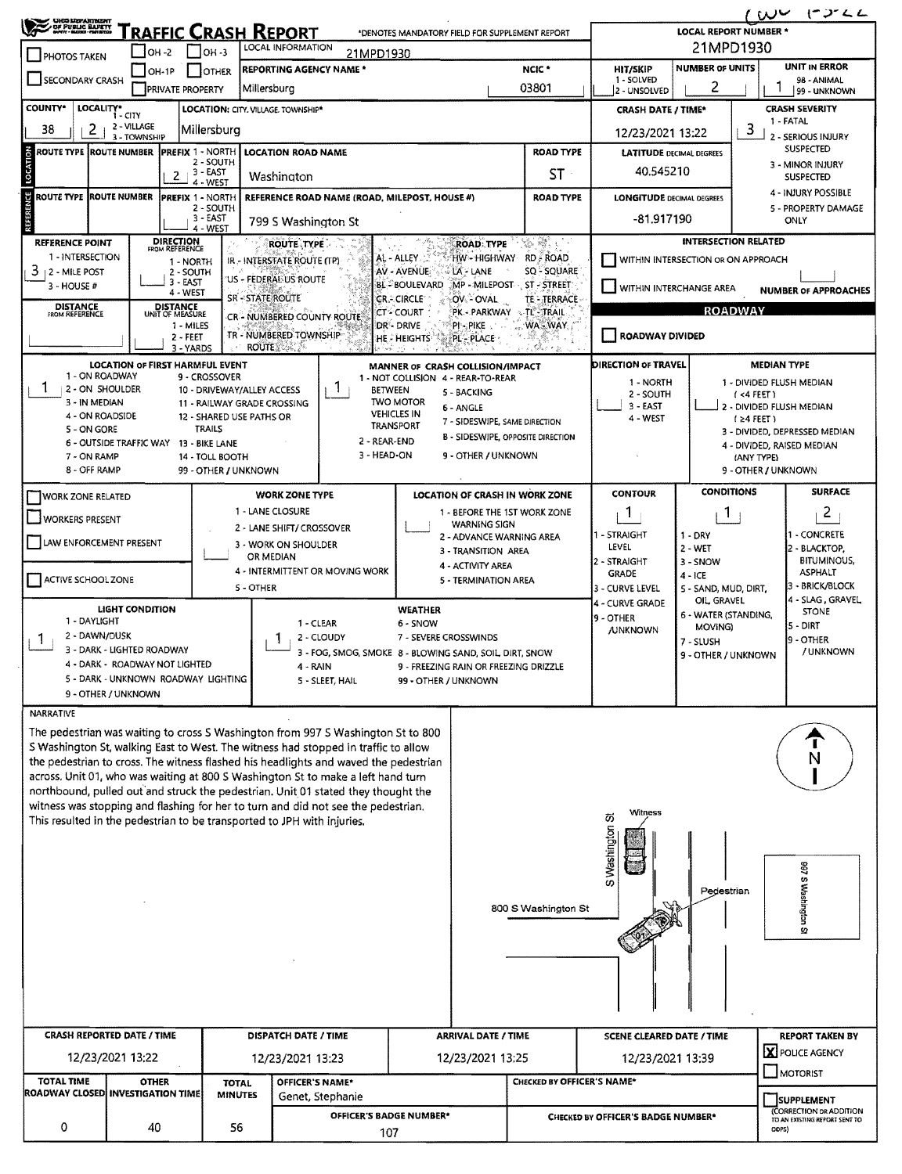| $100$ $1222$<br><b>UHOD LISPARTNENT</b>                                                                                                                         |                                                            |                                    |                                             |                                           |                                                                                                                                                                            |                                                |                                                 |                                                  |                                               |                                    |                                    |                                                                        |  |  |
|-----------------------------------------------------------------------------------------------------------------------------------------------------------------|------------------------------------------------------------|------------------------------------|---------------------------------------------|-------------------------------------------|----------------------------------------------------------------------------------------------------------------------------------------------------------------------------|------------------------------------------------|-------------------------------------------------|--------------------------------------------------|-----------------------------------------------|------------------------------------|------------------------------------|------------------------------------------------------------------------|--|--|
| OF PUBLIC BARETY                                                                                                                                                |                                                            | <u>'RAFFIC CRASH REPORT</u>        |                                             | <b>LOCAL REPORT NUMBER *</b><br>21MPD1930 |                                                                                                                                                                            |                                                |                                                 |                                                  |                                               |                                    |                                    |                                                                        |  |  |
| PHOTOS TAKEN                                                                                                                                                    | OH -2                                                      |                                    | $1$ low-3                                   |                                           | LOCAL INFORMATION<br>21MPD1930                                                                                                                                             |                                                |                                                 | <b>NUMBER OF UNITS</b>                           | <b>UNIT IN ERROR</b>                          |                                    |                                    |                                                                        |  |  |
| <b>SECONDARY CRASH</b>                                                                                                                                          | $ OH-1P$                                                   | <b>PRIVATE PROPERTY</b>            | <b>OTHER</b>                                | Millersburg                               | <b>REPORTING AGENCY NAME*</b>                                                                                                                                              |                                                |                                                 | NCIC <sup>*</sup><br>03801                       | <b>HIT/SKIP</b><br>1 - SOLVED<br>2 - UNSOLVED | 98 - ANIMAL<br>99 - UNKNOWN        |                                    |                                                                        |  |  |
| <b>COUNTY*</b>                                                                                                                                                  | LOCALITY* CITY                                             |                                    |                                             |                                           | LOCATION: CITY, VILLAGE, TOWNSHIP*                                                                                                                                         |                                                |                                                 | <b>CRASH DATE / TIME*</b>                        |                                               |                                    | <b>CRASH SEVERITY</b><br>1 - FATAL |                                                                        |  |  |
| 2<br>38                                                                                                                                                         | 2 - VILLAGE<br>3 - TOWNSHIP                                |                                    | Millersburg                                 |                                           |                                                                                                                                                                            |                                                |                                                 | 12/23/2021 13:22                                 |                                               | 3                                  | 2 - SERIOUS INJURY                 |                                                                        |  |  |
| ROUTE TYPE  ROUTE NUMBER                                                                                                                                        |                                                            | <b>IPREFIX 1 - NORTH</b>           | 2 - SOUTH                                   |                                           | <b>LOCATION ROAD NAME</b>                                                                                                                                                  |                                                | <b>ROAD TYPE</b>                                | <b>LATITUDE DECIMAL DEGREES</b>                  |                                               |                                    | <b>SUSPECTED</b>                   |                                                                        |  |  |
| LOCATION                                                                                                                                                        |                                                            | $2 + 3 - EAST$                     | 4 - WEST                                    |                                           | Washington                                                                                                                                                                 |                                                |                                                 | ST.                                              | 40.545210                                     |                                    |                                    | 3 - MINOR INJURY<br><b>SUSPECTED</b>                                   |  |  |
| <b>ROUTE TYPE ROUTE NUMBER</b>                                                                                                                                  |                                                            | <b>PREFIX 1 - NORTH</b>            |                                             |                                           | REFERENCE ROAD NAME (ROAD, MILEPOST, HOUSE #)                                                                                                                              |                                                |                                                 | <b>ROAD TYPE</b>                                 | <b>LONGITUDE DECIMAL DEGREES</b>              |                                    |                                    | 4 - INJURY POSSIBLE                                                    |  |  |
|                                                                                                                                                                 |                                                            |                                    | 2 - SOUTH<br>3 - EAST<br>4 - WEST           |                                           | 799 S Washington St                                                                                                                                                        |                                                |                                                 |                                                  | -81.917190                                    |                                    | 5 - PROPERTY DAMAGE<br>ONLY        |                                                                        |  |  |
| <b>REFERENCE POINT</b>                                                                                                                                          |                                                            | <b>DIRECTION</b><br>FROM REFERENCE |                                             |                                           | <b>ROUTE TYPE</b>                                                                                                                                                          |                                                | <b>ROAD TYPE</b>                                | 132 - 132 - 132                                  |                                               | <b>INTERSECTION RELATED</b>        |                                    |                                                                        |  |  |
| 1 - INTERSECTION<br>3<br>2 - Mile Post                                                                                                                          |                                                            | 1 - NORTH<br>2 - SOUTH             |                                             |                                           | IR - INTERSTATE ROUTE (TP)                                                                                                                                                 | AL - ALLEY<br>AV - AVENUE                      | LA - LANE                                       | HW-HIGHWAY RD ROAD<br>SQ - SQUARE                | -1                                            | WITHIN INTERSECTION OR ON APPROACH |                                    |                                                                        |  |  |
| 3 - HOUSE #                                                                                                                                                     |                                                            | $3 - EAST$<br>4 - WEST             |                                             | <b>SR-STATE ROUTE</b>                     | 'US - FEDERAL US ROUTE                                                                                                                                                     | <b>BL-BOULEVARD</b><br><b>CR.- CIRCLE</b>      | OV - OVAL                                       | MP - MILEPOST ST - STREET<br><b>TE - TERRACE</b> | WITHIN INTERCHANGE AREA                       |                                    |                                    | <b>NUMBER OF APPROACHES</b>                                            |  |  |
| <b>DISTANCE</b><br>FROM REFERENCE                                                                                                                               |                                                            | <b>DISTANCE</b><br>UNIT OF MEASURE |                                             |                                           | CR - NUMBERED COUNTY ROUTE                                                                                                                                                 | <b>CT-COURT</b>                                | PK - PARKWAY                                    | <b>STL-TRAIL</b>                                 |                                               |                                    | <b>ROADWAY</b>                     |                                                                        |  |  |
| WA-WAY<br>1 - MILES<br>DR-DRIVE<br>PI - PIKE<br>TR - NUMBERED TOWNSHIP<br>ROADWAY DIVIDED<br>2 - FEET<br>PL - PLACE<br>he - Heights<br><b>ROUTE AND PROVIDE</b> |                                                            |                                    |                                             |                                           |                                                                                                                                                                            |                                                |                                                 |                                                  |                                               |                                    |                                    |                                                                        |  |  |
|                                                                                                                                                                 | <b>LOCATION OF FIRST HARMFUL EVENT</b>                     | 3 - YARDS                          |                                             |                                           |                                                                                                                                                                            |                                                | MANNER OF CRASH COLLISION/IMPACT                |                                                  | DIRECTION OF TRAVEL                           |                                    | <b>MEDIAN TYPE</b>                 |                                                                        |  |  |
| 1 - ON ROADWAY<br>1<br>2 - ON SHOULDER                                                                                                                          |                                                            |                                    | 9 - CROSSOVER<br>10 - DRIVEWAY/ALLEY ACCESS |                                           | -1<br><b>BETWEEN</b>                                                                                                                                                       |                                                | 1 - NOT COLLISION 4 - REAR-TO-REAR              |                                                  | 1 - NORTH                                     |                                    | 1 - DIVIDED FLUSH MEDIAN           |                                                                        |  |  |
| 3 - IN MEDIAN                                                                                                                                                   |                                                            |                                    | 11 - RAILWAY GRADE CROSSING                 |                                           |                                                                                                                                                                            | <b>TWO MOTOR</b>                               | 5 - BACKING<br>6 - ANGLE                        |                                                  | 2 - SOUTH<br>3 EAST                           |                                    |                                    | $($ <4 FEET $)$<br>2 - DIVIDED FLUSH MEDIAN                            |  |  |
| 4 - ON ROADSIDE<br>5 - ON GORE                                                                                                                                  |                                                            |                                    | 12 - SHARED USE PATHS OR<br><b>TRAILS</b>   |                                           |                                                                                                                                                                            | <b>VEHICLES IN</b><br><b>TRANSPORT</b>         | 7 - SIDESWIPE, SAME DIRECTION                   |                                                  | 4 - WEST                                      |                                    | $1 \geq 4$ FEET)                   | 3 - DIVIDED, DEPRESSED MEDIAN                                          |  |  |
|                                                                                                                                                                 | 6 - OUTSIDE TRAFFIC WAY                                    |                                    | 13 - BIKE LANE                              |                                           | 2 - REAR-END                                                                                                                                                               |                                                |                                                 | B - SIDESWIPE, OPPOSITE DIRECTION                |                                               |                                    |                                    | 4 - DIVIDED, RAISED MEDIAN                                             |  |  |
| 3 - HEAD-ON<br>9 - OTHER / UNKNOWN<br>7 - ON RAMP<br>14 - TOLL BOOTH<br>8 - OFF RAMP<br>99 - OTHER / UNKNOWN                                                    |                                                            |                                    |                                             |                                           |                                                                                                                                                                            |                                                |                                                 |                                                  |                                               |                                    | (ANY TYPE)<br>9 - OTHER / UNKNOWN  |                                                                        |  |  |
| <b>WORK ZONE RELATED</b>                                                                                                                                        |                                                            |                                    |                                             |                                           | <b>WORK ZONE TYPE</b>                                                                                                                                                      |                                                |                                                 | LOCATION OF CRASH IN WORK ZONE                   | <b>CONTOUR</b>                                | <b>CONDITIONS</b>                  |                                    | <b>SURFACE</b>                                                         |  |  |
| WORKERS PRESENT                                                                                                                                                 |                                                            |                                    |                                             | 1 - LANE CLOSURE                          |                                                                                                                                                                            |                                                |                                                 | 1 - BEFORE THE 1ST WORK ZONE                     | $\mathbf{1}$                                  | 1.                                 |                                    | $\overline{2}$                                                         |  |  |
| LAW ENFORCEMENT PRESENT                                                                                                                                         |                                                            |                                    |                                             |                                           | 2 - LANE SHIFT/ CROSSOVER                                                                                                                                                  |                                                | <b>WARNING SIGN</b><br>2 - ADVANCE WARNING AREA |                                                  | 1 - STRAIGHT                                  | $1 - DRY$                          |                                    | <b>- CONCRETE</b>                                                      |  |  |
|                                                                                                                                                                 |                                                            |                                    |                                             | OR MEDIAN                                 | 3 - WORK ON SHOULDER                                                                                                                                                       |                                                | 3 - TRANSITION AREA                             |                                                  | LEVEL<br>2 - STRAIGHT                         | $2 - WET$<br>3 - SNOW              |                                    | 2 - BLACKTOP,<br><b>BITUMINOUS,</b>                                    |  |  |
| ACTIVE SCHOOL ZONE                                                                                                                                              |                                                            |                                    |                                             |                                           | 4 - INTERMITTENT OR MOVING WORK                                                                                                                                            |                                                | 4 - ACTIVITY AREA<br>5 - TERMINATION AREA       |                                                  | <b>GRADE</b>                                  | $4 - ICE$                          |                                    | <b>ASPHALT</b><br>3 - BRICK/BLOCK                                      |  |  |
|                                                                                                                                                                 |                                                            |                                    |                                             | <b>S-OTHER</b>                            |                                                                                                                                                                            |                                                |                                                 |                                                  | 3 - CURVE LEVEL<br>4 - CURVE GRADE            | S - SAND, MUD, DIRT,<br>OIL GRAVEL |                                    | 4 - SLAG, GRAVEL                                                       |  |  |
| 1 - DAYLIGHT                                                                                                                                                    | <b>LIGHT CONDITION</b>                                     |                                    |                                             |                                           | 1 - CLEAR                                                                                                                                                                  | <b>WEATHER</b><br>6 - SNOW                     |                                                 |                                                  | 9 - OTHER<br><b>JUNKNOWN</b>                  | 6 - WATER (STANDING,<br>MOVING)    |                                    | <b>STONE</b><br>ls - DIRT                                              |  |  |
| 2 - DAWN/DUSK<br>Л.                                                                                                                                             | 3 - DARK - LIGHTED ROADWAY                                 |                                    |                                             |                                           | 2 - CLOUDY<br>L                                                                                                                                                            | 7 - SEVERE CROSSWINDS                          |                                                 |                                                  | 7 - SLUSH                                     |                                    | 9 - OTHER<br>/UNKNOWN              |                                                                        |  |  |
|                                                                                                                                                                 | 4 - DARK - ROADWAY NOT LIGHTED                             |                                    |                                             |                                           | 3 - FOG, SMOG, SMOKE 8 - BLOWING SAND, SOIL DIRT, SNOW<br>4 - RAIN                                                                                                         |                                                | 9 - FREEZING RAIN OR FREEZING DRIZZLE           |                                                  |                                               | 9 - OTHER / UNKNOWN                |                                    |                                                                        |  |  |
|                                                                                                                                                                 | 5 - DARK - UNKNOWN ROADWAY LIGHTING<br>9 - OTHER / UNKNOWN |                                    |                                             |                                           | 5 - SLEET, HAIL                                                                                                                                                            | 99 - OTHER / UNKNOWN                           |                                                 |                                                  |                                               |                                    |                                    |                                                                        |  |  |
| <b>NARRATIVE</b>                                                                                                                                                |                                                            |                                    |                                             |                                           |                                                                                                                                                                            |                                                |                                                 |                                                  |                                               |                                    |                                    |                                                                        |  |  |
|                                                                                                                                                                 |                                                            |                                    |                                             |                                           | The pedestrian was waiting to cross S Washington from 997 S Washington St to 800                                                                                           |                                                |                                                 |                                                  |                                               |                                    |                                    |                                                                        |  |  |
|                                                                                                                                                                 |                                                            |                                    |                                             |                                           | S Washington St, walking East to West. The witness had stopped in traffic to allow<br>the pedestrian to cross. The witness flashed his headlights and waved the pedestrian |                                                |                                                 |                                                  |                                               |                                    |                                    | N                                                                      |  |  |
|                                                                                                                                                                 |                                                            |                                    |                                             |                                           | across. Unit 01, who was waiting at 800 S Washington St to make a left hand turn                                                                                           |                                                |                                                 |                                                  |                                               |                                    |                                    |                                                                        |  |  |
|                                                                                                                                                                 |                                                            |                                    |                                             |                                           | northbound, pulled out and struck the pedestrian. Unit 01 stated they thought the<br>witness was stopping and flashing for her to turn and did not see the pedestrian.     |                                                |                                                 |                                                  |                                               |                                    |                                    |                                                                        |  |  |
|                                                                                                                                                                 |                                                            |                                    |                                             |                                           | This resulted in the pedestrian to be transported to JPH with injuries.                                                                                                    |                                                |                                                 |                                                  | Witness<br>あ                                  |                                    |                                    |                                                                        |  |  |
|                                                                                                                                                                 |                                                            |                                    |                                             |                                           |                                                                                                                                                                            |                                                |                                                 |                                                  | S Washington                                  |                                    |                                    |                                                                        |  |  |
|                                                                                                                                                                 |                                                            |                                    |                                             |                                           |                                                                                                                                                                            |                                                |                                                 |                                                  |                                               |                                    |                                    |                                                                        |  |  |
|                                                                                                                                                                 |                                                            |                                    |                                             |                                           |                                                                                                                                                                            |                                                |                                                 |                                                  |                                               | Pedestrian                         |                                    |                                                                        |  |  |
|                                                                                                                                                                 |                                                            |                                    |                                             |                                           |                                                                                                                                                                            | <b>997 S Washington</b><br>800 S Washington St |                                                 |                                                  |                                               |                                    |                                    |                                                                        |  |  |
|                                                                                                                                                                 |                                                            |                                    |                                             |                                           |                                                                                                                                                                            |                                                |                                                 |                                                  |                                               |                                    |                                    | ω                                                                      |  |  |
|                                                                                                                                                                 |                                                            |                                    |                                             |                                           |                                                                                                                                                                            |                                                |                                                 |                                                  |                                               |                                    |                                    |                                                                        |  |  |
|                                                                                                                                                                 |                                                            |                                    |                                             |                                           |                                                                                                                                                                            |                                                |                                                 |                                                  |                                               |                                    |                                    |                                                                        |  |  |
|                                                                                                                                                                 |                                                            |                                    |                                             |                                           |                                                                                                                                                                            |                                                |                                                 |                                                  |                                               |                                    |                                    |                                                                        |  |  |
| <b>CRASH REPORTED DATE / TIME</b>                                                                                                                               |                                                            |                                    |                                             |                                           | DISPATCH DATE / TIME                                                                                                                                                       |                                                | <b>ARRIVAL DATE / TIME</b>                      |                                                  | <b>SCENE CLEARED DATE / TIME</b>              |                                    |                                    | <b>REPORT TAKEN BY</b>                                                 |  |  |
|                                                                                                                                                                 | 12/23/2021 13:22                                           |                                    |                                             |                                           | 12/23/2021 13:23                                                                                                                                                           |                                                | 12/23/2021 13:25                                |                                                  | 12/23/2021 13:39                              |                                    |                                    | X POLICE AGENCY<br>$\Box$ MOTORIST                                     |  |  |
| <b>TOTAL TIME</b><br>ROADWAY CLOSED INVESTIGATION TIME                                                                                                          | <b>OTHER</b>                                               |                                    | <b>TOTAL</b><br><b>MINUTES</b>              |                                           | OFFICER'S NAME*<br>Genet, Stephanie                                                                                                                                        |                                                |                                                 | CHECKED BY OFFICER'S NAME*                       |                                               |                                    |                                    |                                                                        |  |  |
| 0                                                                                                                                                               |                                                            |                                    |                                             |                                           | OFFICER'S BADGE NUMBER*                                                                                                                                                    |                                                |                                                 |                                                  | <b>CHECKED BY OFFICER'S BADGE NUMBER*</b>     |                                    |                                    | SUPPLEMENT<br>(CORRECTION OR ADDITION<br>TO AN EXISTING REPORT SENT TO |  |  |
|                                                                                                                                                                 | 40<br>56<br>107                                            |                                    |                                             |                                           |                                                                                                                                                                            |                                                |                                                 | ODPS)                                            |                                               |                                    |                                    |                                                                        |  |  |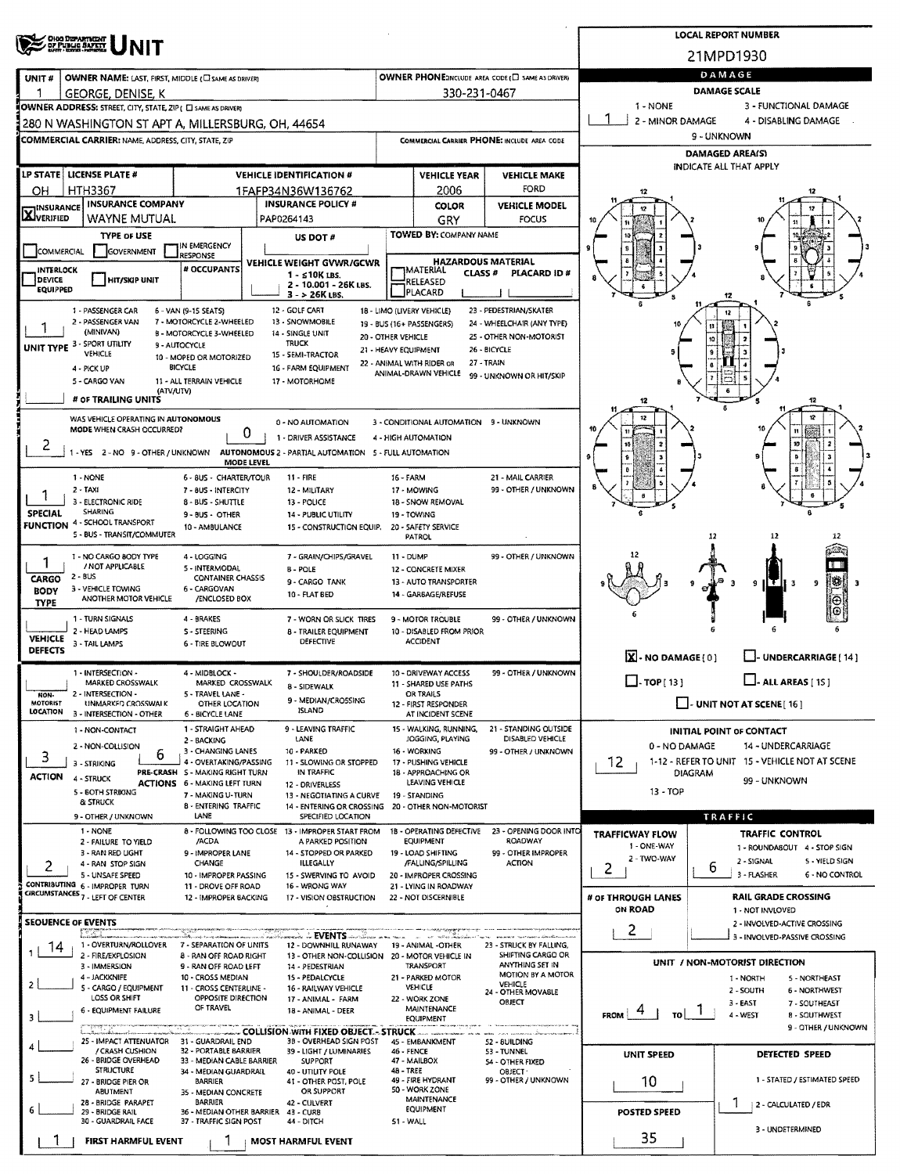|                                                                                                                       | OHO DIZPARTMENT<br>OF PUBLIC BAFETY                                                      |                                                           |                                                         |                                                         |                                               |                                                   |                                                                 | <b>LOCAL REPORT NUMBER</b>                                         |  |  |  |  |
|-----------------------------------------------------------------------------------------------------------------------|------------------------------------------------------------------------------------------|-----------------------------------------------------------|---------------------------------------------------------|---------------------------------------------------------|-----------------------------------------------|---------------------------------------------------|-----------------------------------------------------------------|--------------------------------------------------------------------|--|--|--|--|
|                                                                                                                       |                                                                                          |                                                           |                                                         |                                                         |                                               |                                                   |                                                                 | 21MPD1930                                                          |  |  |  |  |
| UNIT#                                                                                                                 | OWNER NAME: LAST, FIRST, MIDDLE (C) SAME AS DRIVER)                                      |                                                           |                                                         |                                                         |                                               | OWNER PHONE:INCLUDE AREA CODE (E) SAME AS DRIVERY | DAMAGE                                                          |                                                                    |  |  |  |  |
|                                                                                                                       | GEORGE, DENISE, K<br>OWNER ADDRESS: STREET, CITY, STATE, ZIP ( C SAME AS DRIVER)         |                                                           |                                                         |                                                         | 330-231-0467                                  |                                                   | <b>DAMAGE SCALE</b><br>1 - NONE<br>3 - FUNCTIONAL DAMAGE        |                                                                    |  |  |  |  |
|                                                                                                                       | 280 N WASHINGTON ST APT A, MILLERSBURG, OH, 44654                                        |                                                           |                                                         |                                                         |                                               |                                                   | 2 - MINOR DAMAGE                                                | 4 - DISABLING DAMAGE                                               |  |  |  |  |
|                                                                                                                       | <b>COMMERCIAL CARRIER: NAME, ADDRESS, CITY, STATE, ZIP</b>                               |                                                           |                                                         |                                                         |                                               | COMMERCIAL CARRIER PHONE: INCLUDE AREA CODE       | 9 - UNKNOWN                                                     |                                                                    |  |  |  |  |
|                                                                                                                       |                                                                                          |                                                           |                                                         |                                                         |                                               |                                                   |                                                                 | <b>DAMAGED AREA(S)</b><br>INDICATE ALL THAT APPLY                  |  |  |  |  |
|                                                                                                                       | LP STATE   LICENSE PLATE #                                                               |                                                           | <b>VEHICLE IDENTIFICATION #</b>                         |                                                         | <b>VEHICLE YEAR</b>                           | <b>VEHICLE MAKE</b>                               |                                                                 |                                                                    |  |  |  |  |
| OН<br><b>INSURANCE</b>                                                                                                | <b>HTH3367</b><br><b>INSURANCE COMPANY</b>                                               |                                                           | 1FAFP34N36W136762<br><b>INSURANCE POLICY #</b>          |                                                         | 2006<br>COLOR                                 | <b>FORD</b><br><b>VEHICLE MODEL</b>               | 12                                                              |                                                                    |  |  |  |  |
| <b>X</b> VERIFIED                                                                                                     | WAYNE MUTUAL                                                                             |                                                           | PAP0264143                                              |                                                         | GRY                                           | FOCUS                                             | 12                                                              |                                                                    |  |  |  |  |
|                                                                                                                       | TYPE OF USE                                                                              | IN EMERGENCY                                              | US DOT #                                                |                                                         | TOWED BY: COMPANY NAME                        |                                                   |                                                                 |                                                                    |  |  |  |  |
| <b>COMMERCIAL</b>                                                                                                     | <b>GOVERNMENT</b>                                                                        | RESPONSE<br># OCCUPANTS                                   | <b>VEHICLE WEIGHT GVWR/GCWR</b>                         |                                                         |                                               | <b>HAZARDOUS MATERIAL</b>                         |                                                                 |                                                                    |  |  |  |  |
| <b>INTERLOCK</b><br>DEVICE<br><b>EQUIPPED</b>                                                                         | <b>HIT/SKIP UNIT</b>                                                                     |                                                           | 1 - ≤10K LBS.<br>2 - 10.001 - 26K LBS.                  |                                                         | IMATERIAL<br><b>CLASS #</b><br>RELEASED       | PLACARD ID#                                       |                                                                 |                                                                    |  |  |  |  |
|                                                                                                                       |                                                                                          |                                                           | $3 - 26K$ LBS.<br>12 - GOLF CART                        |                                                         | PLACARD                                       | 23 - PEDESTRIAN/SKATER                            |                                                                 |                                                                    |  |  |  |  |
|                                                                                                                       | 1 - PASSENGER CAR<br>2 - PASSENGER VAN                                                   | 6 - VAN (9-15 SEATS)<br>7 - MOTORCYCLE 2-WHEELED          | 13 - SNOWMOBILE                                         | 18 - LIMO (LIVERY VEHICLE)<br>19 - BUS (16+ PASSENGERS) |                                               | 24 - WHEELCHAIR (ANY TYPE)                        |                                                                 |                                                                    |  |  |  |  |
|                                                                                                                       | (MINIVAN)<br>UNIT TYPE 3 - SPORT UTILITY                                                 | B - MOTORCYCLE 3-WHEELED<br>9 - AUTOCYCLE                 | 14 - SINGLE UNIT<br><b>TRUCK</b>                        | 20 - OTHER VEHICLE<br>21 - HEAVY EQUIPMENT              |                                               | 25 - OTHER NON-MOTORIST<br>26 - BICYCLE           |                                                                 |                                                                    |  |  |  |  |
|                                                                                                                       | <b>VEHICLE</b><br>4 - PICK UP                                                            | 10 - MOPED OR MOTORIZED<br>BICYCLE                        | 15 - SEMI-TRACTOR<br>16 - FARM EQUIPMENT                | 22 - ANIMAL WITH RIDER OR                               |                                               | 27 - TRAIN                                        |                                                                 |                                                                    |  |  |  |  |
|                                                                                                                       | 5 - CARGO VAN<br>(ATV/UTV)                                                               | 11 - ALL TERRAIN VEHICLE                                  | 17 - MOTORHOME                                          |                                                         | ANIMAL-DRAWN VEHICLE                          | 99 - UNKNOWN OR HIT/SKIP                          |                                                                 |                                                                    |  |  |  |  |
|                                                                                                                       | # OF TRAILING UNITS                                                                      |                                                           |                                                         |                                                         |                                               |                                                   | 12                                                              | 12                                                                 |  |  |  |  |
|                                                                                                                       | WAS VEHICLE OPERATING IN AUTONOMOUS<br>MODE WHEN CRASH OCCURRED?                         |                                                           | 0 - NO AUTOMATION                                       |                                                         | 3 - CONDITIONAL AUTOMATION 9 - UNKNOWN        |                                                   | 12                                                              | $\mathbf{u}$                                                       |  |  |  |  |
| 2                                                                                                                     |                                                                                          |                                                           | 0<br>1 - DRIVER ASSISTANCE                              |                                                         | 4 - HIGH AUTOMATION                           |                                                   |                                                                 | 10                                                                 |  |  |  |  |
|                                                                                                                       | 1 - YES 2 - NO 9 - OTHER / UNKNOWN AUTONOMOUS 2 - PARTIAL AUTOMATION 5 - FULL AUTOMATION |                                                           | MODE LEVEL                                              |                                                         |                                               |                                                   |                                                                 |                                                                    |  |  |  |  |
|                                                                                                                       | 1 - NONE<br>$2 - TAXI$                                                                   | 6 - 8US - CHARTER/TOUR<br>7 - 8US - INTERCITY             | <b>11 - FIRE</b><br>12 - MILITARY                       | 16 - FARM                                               | 17 - MOWING                                   | 21 - MAIL CARRIER<br>99 - OTHER / UNKNOWN         |                                                                 |                                                                    |  |  |  |  |
|                                                                                                                       | 3 - ELECTRONIC RIDE<br><b>SHARING</b>                                                    | 8 - BUS - SHUTTLE                                         | 13 - POLICE                                             |                                                         | 18 - SNOW REMOVAL                             |                                                   |                                                                 |                                                                    |  |  |  |  |
| <b>SPECIAL</b>                                                                                                        | FUNCTION 4 - SCHOOL TRANSPORT                                                            | 9-BUS - OTHER<br>10 - AMBULANCE                           | <b>14 - PUBLIC UTILITY</b><br>15 - CONSTRUCTION EQUIP.  |                                                         | 19 - TOWING<br>20 - SAFETY SERVICE            |                                                   |                                                                 |                                                                    |  |  |  |  |
|                                                                                                                       | 5 - BUS - TRANSIT/COMMUTER                                                               |                                                           |                                                         |                                                         | PATROL                                        |                                                   |                                                                 | 12<br>12<br>12                                                     |  |  |  |  |
| 1                                                                                                                     | 1 - NO CARGO 8ODY TYPE<br>/ NOT APPLICABLE                                               | 4 - LOGGING<br>5 - INTERMODAL                             | 7 - GRAIN/CHIPS/GRAVEL<br><b>B-POLE</b>                 |                                                         | 11 - DUMP<br>12 - CONCRETE MIXER              | 99 - OTHER / UNKNOWN                              |                                                                 | ПU                                                                 |  |  |  |  |
| $2 - BUS$<br><b>CONTAINER CHASSIS</b><br>CARGO<br>9 - CARGO TANK<br>3 - VEHICLE TOWING<br>6 - CARGOVAN<br><b>BODY</b> |                                                                                          |                                                           |                                                         |                                                         | 13 - AUTO TRANSPORTER                         |                                                   |                                                                 | <b>SSI</b><br>9<br>9<br>в<br><b>ILE II</b> 3                       |  |  |  |  |
| <b>TYPE</b>                                                                                                           | ANOTHER MOTOR VEHICLE                                                                    | /ENCLOSED BOX                                             | 10 - FLAT BED                                           |                                                         | 14 - GARBAGE/REFUSE                           |                                                   |                                                                 | Θ                                                                  |  |  |  |  |
|                                                                                                                       | 1 - TURN SIGNALS<br>2 - HEAD LAMPS                                                       | 4 - BRAKES<br>S - STEERING                                | 7 - WORN OR SLICK TIRES<br><b>B - TRAILER EQUIPMENT</b> |                                                         | 9 - MOTOR TROUBLE<br>10 - DISABLED FROM PRIOR | 99 - OTHER / UNKNOWN                              |                                                                 |                                                                    |  |  |  |  |
| VEHICLE<br><b>DEFECTS</b>                                                                                             | 3 - TAIL LAMPS                                                                           | 6 TIRE BLOWOUT                                            | <b>DEFECTIVE</b>                                        |                                                         | <b>ACCIDENT</b>                               |                                                   |                                                                 |                                                                    |  |  |  |  |
|                                                                                                                       | 1 - INTERSECTION -                                                                       | 4 - MIDBLOCK -                                            | 7 - SHOULDER/ROADSIDE                                   |                                                         | 10 - DRIVEWAY ACCESS                          | 99 - OTHER / UNKNOWN                              | X-NO DAMAGE(0)                                                  | <b>UNDERCARRIAGE [ 14 ]</b>                                        |  |  |  |  |
| NON-                                                                                                                  | MARKED CROSSWALK<br>2 - INTERSECTION -                                                   | MARKED CROSSWALK<br>5 - TRAVEL LANE -                     | 8 - SIDEWALK                                            |                                                         | 11 - SHARED USE PATHS<br>OR TRAILS            |                                                   | $\Box$ - TOP(13)<br>$\Box$ - ALL AREAS [ 15 ]                   |                                                                    |  |  |  |  |
| <b>MOTORIST</b><br>LOCATION                                                                                           | UNMARKED CROSSWALK<br>3 - INTERSECTION - OTHER                                           | OTHER LOCATION<br>6 - BICYCLE LANE                        | 9 - MEDIAN/CRO5SING<br><b>ISLAND</b>                    |                                                         | 12 - FIRST RESPONDER<br>AT INCIDENT SCENE     |                                                   |                                                                 | $\Box$ - UNIT NOT AT SCENE [ 16 ]                                  |  |  |  |  |
|                                                                                                                       | 1 - NON-CONTACT                                                                          | 1 - STRAIGHT AHEAD                                        | 9 - LEAVING TRAFFIC                                     |                                                         | 15 - WALKING, RUNNING,                        | 21 - STANDING OUTSIDE                             |                                                                 | INITIAL POINT OF CONTACT                                           |  |  |  |  |
|                                                                                                                       | 2 - NON-COLLISION<br>6                                                                   | 2 - BACKING<br>3 - CHANGING LANES                         | LANE<br>10 - PARKED                                     |                                                         | JOGGING, PLAYING<br>16 - WORKING              | DISABLED VEHICLE<br>99 - OTHER / UNKNOWN          | 0 - NO DAMAGE                                                   | 14 - UNDERCARRIAGE                                                 |  |  |  |  |
| 3                                                                                                                     | 3 - STRIKING                                                                             | 4 - OVERTAKING/PASSING<br>PRE CRASH S - MAKING RIGHT TURN | 11 - SLOWING OR STOPPED<br>IN TRAFFIC                   |                                                         | 17 - PUSHING VEHICLE<br>18 - APPROACHING OR   |                                                   | 1-12 - REFER TO UNIT 15 - VEHICLE NOT AT SCENE<br>12<br>DIAGRAM |                                                                    |  |  |  |  |
| <b>ACTION</b>                                                                                                         | 4 - STRUCK<br>5 - BOTH STRIKING                                                          | <b>ACTIONS 6 - MAKING LEFT TURN</b><br>7 - MAKING U-TURN  | 12 - DRIVERLESS<br>13 - NEGOTIATING A CURVE             |                                                         | LEAVING VEHICLE<br>19 - STANDING              |                                                   | 13 - TOP                                                        | 99 - UNKNOWN                                                       |  |  |  |  |
|                                                                                                                       | & STRUCK                                                                                 | 8 - ENTERING TRAFFIC<br>LANE                              | 14 - ENTERING OR CROSSING<br>SPECIFIED LOCATION         |                                                         | 20 - OTHER NON-MOTORIST                       |                                                   |                                                                 |                                                                    |  |  |  |  |
|                                                                                                                       | 9 - OTHER / UNKNOWN<br>1 - NONE                                                          |                                                           | 8 - FOLLOWING TOO CLOSE 13 - IMPROPER START FROM        |                                                         | 1B - OPERATING DEFECTIVE                      | 23 - OPENING DOOR INTO                            | <b>TRAFFICWAY FLOW</b>                                          | TRAFFIC<br>TRAFFIC CONTROL                                         |  |  |  |  |
|                                                                                                                       | 2 - FAILURE TO YIELD<br>3 - RAN RED LIGHT                                                | /ACDA<br>9 - IMPROPER LANE                                | A PARKED POSITION<br>14 - STOPPED OR PARKED             |                                                         | <b>EQUIPMENT</b><br>19 - LOAD SHIFTING        | ROADWAY<br>99 - OTHER IMPROPER                    | 1 - ONE-WAY                                                     | 1 - ROUNDABOUT 4 - STOP SIGN                                       |  |  |  |  |
| 2                                                                                                                     | 4 - RAN STOP SIGN<br>5 - UNSAFE SPEED                                                    | CHANGE<br>10 - IMPROPER PASSING                           | <b>ILLEGALLY</b><br>15 - SWERVING TO AVOID              |                                                         | /FALLING/SPILLING<br>20 - IMPROPER CROSSING   | <b>ACTION</b>                                     | 2 - TWO-WAY<br>2                                                | 2 - SIGNAL<br>5 - YIELD SIGN<br>6<br>3 - FLASHER<br>6 - NO CONTROL |  |  |  |  |
|                                                                                                                       | CONTRIBUTING 6 - IMPROPER TURN<br>CIRCUMSTANCES <sub>7</sub> - LEFT OF CENTER            | 11 - DROVE OFF ROAD                                       | 16 - WRONG WAY                                          |                                                         | 21 - LYING IN ROADWAY                         |                                                   |                                                                 |                                                                    |  |  |  |  |
|                                                                                                                       |                                                                                          | 12 - IMPROPER BACKING                                     | 17 - VISION OBSTRUCTION                                 |                                                         | 22 - NOT DISCERNIBLE                          |                                                   | # OF THROUGH LANES<br><b>ON ROAD</b>                            | <b>RAIL GRADE CROSSING</b><br>1 - NOT INVIOVED                     |  |  |  |  |
| <b>SEOUENCE OF EVENTS</b>                                                                                             |                                                                                          |                                                           | <del>ی</del> ست EVENTS شاهند                            |                                                         |                                               |                                                   | 2                                                               | 2 - INVOLVED-ACTIVE CROSSING<br>3 - INVOLVED-PASSIVE CROSSING      |  |  |  |  |
| 14                                                                                                                    | 1 - OVERTURN/ROLLOVER<br>2 - FIRE/EXPLOSION                                              | 7 - SEPARATION OF UNITS<br><b>8 - RAN OFF ROAD RIGHT</b>  | 12 - DOWNHILL RUNAWAY                                   | 13 - OTHER NON-COLLISION 20 - MOTOR VEHICLE IN          | 19 - ANIMAL -OTHER                            | 23 - STRUCK BY FALLING,<br>SHIFTING CARGO OR      |                                                                 |                                                                    |  |  |  |  |
|                                                                                                                       | 3 - IMMERSION<br>4 - JACKKNIFE                                                           | 9 - RAN OFF ROAD LEFT<br>10 - CROSS MEDIAN                | 14 - PEDESTRIAN<br>15 - PEDALCYCLE                      |                                                         | TRANSPORT<br>21 - PARKED MOTOR                | ANYTHING SET IN<br>MOTION BY A MOTOR              |                                                                 | UNIT / NON-MOTORIST DIRECTION                                      |  |  |  |  |
| 2                                                                                                                     | 5 - CARGO / EQUIPMENT<br><b>LOSS OR SHIFT</b>                                            | 11 - CROSS CENTERLINE -                                   | 16 - RAILWAY VEHICLE                                    |                                                         | <b>VEHICLE</b>                                | VEHICLE<br>24 - OTHER MOVABLE                     |                                                                 | 1 - NORTH<br>5 - NORTHEAST<br>2 - SOUTH<br><b>6 - NORTHWEST</b>    |  |  |  |  |
| 3                                                                                                                     | 6 - EQUIPMENT FAILURE                                                                    | OPPOSITE DIRECTION<br>OF TRAVEL                           | 17 - ANIMAL - FARM<br>18 - ANIMAL - DEER                |                                                         | 22 - WORK ZONE<br><b>MAINTENANCE</b>          | OBJECT                                            | -4<br><b>FROM</b><br>TO.                                        | 3 - EAST<br>7 - SOUTHEAST<br>4 - WEST<br><b>8 - SOUTHWEST</b>      |  |  |  |  |
|                                                                                                                       |                                                                                          |                                                           | COLLISION WITH FIXED OBJECT. - STRUCK                   |                                                         | EQUIPMENT                                     |                                                   |                                                                 | 9 - OTHER / UNKNOWN                                                |  |  |  |  |
|                                                                                                                       | 25 - IMPACT ATTENUATOR<br>/ CRASH CUSHION                                                | 31 - GUARDRAIL END<br>32 - PORTABLE BARRIER               | 3B - OVERHEAD SIGN POST<br>39 - LIGHT / LUMINARIES      |                                                         | 45 - EMBANKMENT<br>46 - FENCE                 | 52 - 8UILDING<br>53 - TUNNEL                      | UNIT SPEED                                                      | DETECTED SPEED                                                     |  |  |  |  |
|                                                                                                                       | 26 - BRIDGE OVERHEAD<br><b>STRUCTURE</b>                                                 | 33 - MEDIAN CABLE BARRIER<br>34 - MEDIAN GUARDRAIL        | <b>SUPPORT</b><br>40 - UTILITY POLE                     | <b>48 - TREE</b>                                        | 47 - MAILBOX                                  | <b>54 - OTHER FIXED</b><br>OBJECT-                |                                                                 |                                                                    |  |  |  |  |
| 5                                                                                                                     | 27 - BRIDGE PIER OR<br>ABUTMENT                                                          | <b>BARRIER</b><br>35 - MEDIAN CONCRETE                    | 41 - OTHER POST, POLE<br>OR SUPPORT                     |                                                         | 49 - FIRE HYDRANT<br>50 - WORK ZONE           | 99 - OTHER / UNKNOWN                              | 10                                                              | 1 - STATED / ESTIMATED SPEED                                       |  |  |  |  |
| 6                                                                                                                     | 28 - BRIDGE PARAPET<br>29 - BRIDGE RAIL                                                  | <b>BARRIER</b><br>36 - MEDIAN OTHER BARRIER               | 42 - CULVERT<br>43 - CURB                               |                                                         | MAINTENANCE<br>EQUIPMENT                      |                                                   | POSTED SPEED                                                    | J.<br>  2 - CALCULATED / EDR                                       |  |  |  |  |
|                                                                                                                       | 30 - GUARDRAIL FACE                                                                      | 37 - TRAFFIC SIGN POST                                    | 44 - DITCH                                              | 51 - WALL                                               |                                               |                                                   |                                                                 | 3 - UNDETERMINED                                                   |  |  |  |  |
|                                                                                                                       | <b>FIRST HARMFUL EVENT</b>                                                               |                                                           | MOST HARMFUL EVENT                                      |                                                         |                                               |                                                   | 35                                                              |                                                                    |  |  |  |  |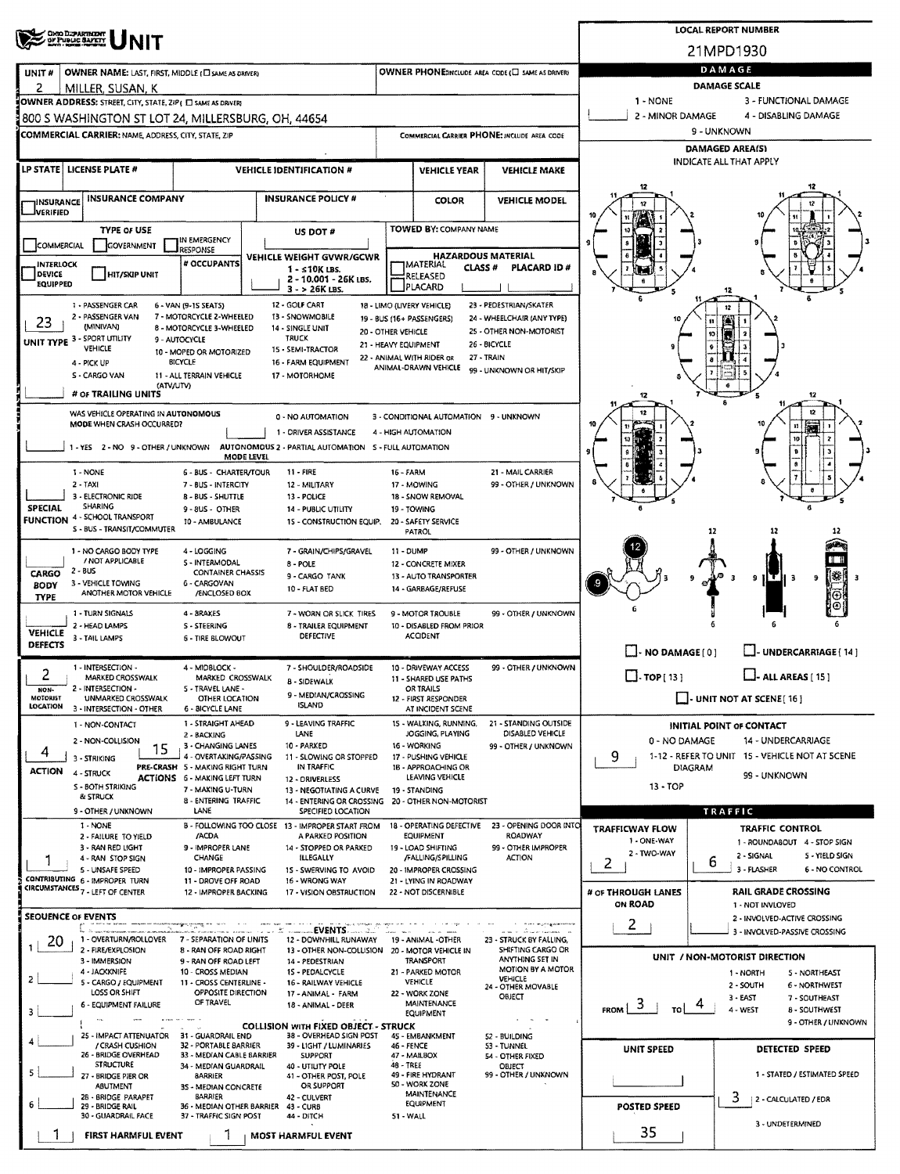| ONG DUPARTMENT<br>OF PUBLIC SAFETY     |                                                                               |                                                          |            |                                                                                          |                                            |                                                         |                                                      |                                          |                | <b>LOCAL REPORT NUMBER</b>                                           |  |  |  |  |
|----------------------------------------|-------------------------------------------------------------------------------|----------------------------------------------------------|------------|------------------------------------------------------------------------------------------|--------------------------------------------|---------------------------------------------------------|------------------------------------------------------|------------------------------------------|----------------|----------------------------------------------------------------------|--|--|--|--|
|                                        |                                                                               |                                                          |            |                                                                                          |                                            |                                                         |                                                      | 21MPD1930                                |                |                                                                      |  |  |  |  |
| UNIT#<br>2                             | OWNER NAME: LAST, FIRST, MIDDLE (C) SAME AS DRIVER)<br>MILLER, SUSAN, K       |                                                          |            |                                                                                          |                                            |                                                         | OWNER PHONE:INCLUDE AREA CODE (L) SAME AS DRIVERY    | DAMAGE<br>DAMAGE SCALE                   |                |                                                                      |  |  |  |  |
|                                        | OWNER ADDRESS: STREET, CITY, STATE, ZIP ( E SAME AS DRIVER)                   |                                                          |            |                                                                                          |                                            |                                                         |                                                      | 1 - NONE<br>3 - FUNCTIONAL DAMAGE        |                |                                                                      |  |  |  |  |
|                                        | 800 S WASHINGTON ST LOT 24, MILLERSBURG, OH, 44654                            |                                                          |            |                                                                                          |                                            |                                                         |                                                      | 2 - MINOR DAMAGE<br>4 - DISABLING DAMAGE |                |                                                                      |  |  |  |  |
|                                        | <b>COMMERCIAL CARRIER: NAME, ADDRESS, CITY, STATE, ZIP</b>                    |                                                          |            |                                                                                          |                                            |                                                         | COMMERCIAL CARRIER PHONE: INCLUDE AREA CODE          | 9 - UNKNOWN<br><b>DAMAGED AREA(S)</b>    |                |                                                                      |  |  |  |  |
|                                        |                                                                               |                                                          |            |                                                                                          |                                            |                                                         |                                                      |                                          |                | INDICATE ALL THAT APPLY                                              |  |  |  |  |
| LP STATE LICENSE PLATE #               |                                                                               |                                                          |            | <b>VEHICLE IDENTIFICATION #</b>                                                          | <b>VEHICLE YEAR</b><br><b>VEHICLE MAKE</b> |                                                         |                                                      |                                          |                |                                                                      |  |  |  |  |
| INSURANCE                              | <b>INSURANCE COMPANY</b>                                                      |                                                          |            | <b>INSURANCE POLICY #</b>                                                                |                                            | <b>COLOR</b>                                            | <b>VEHICLE MODEL</b>                                 |                                          |                |                                                                      |  |  |  |  |
| <b>JVERIFIED</b>                       |                                                                               |                                                          |            |                                                                                          |                                            |                                                         |                                                      |                                          |                |                                                                      |  |  |  |  |
| COMMERCIAL                             | <b>TYPE OF USE</b><br>GOVERNMENT                                              | IN EMERGENCY                                             |            | US DOT #                                                                                 |                                            | <b>TOWED BY: COMPANY NAME</b>                           |                                                      |                                          |                |                                                                      |  |  |  |  |
| <b>INTERLOCK</b>                       |                                                                               | <b>RESPONSE</b><br># OCCUPANTS                           |            | <b>VEHICLE WEIGHT GVWR/GCWR</b>                                                          |                                            |                                                         | <b>HAZARDOUS MATERIAL</b>                            |                                          |                |                                                                      |  |  |  |  |
| DEVICE                                 | <b>HIT/SKIP UNIT</b>                                                          |                                                          |            | 1 - s10K LBS.<br>2 - 10.001 - 26K LBS.                                                   |                                            | <b>IMATERIAL</b><br>CLASS <sup>#</sup><br>RELEASED      | PLACARD ID#                                          |                                          |                |                                                                      |  |  |  |  |
| <b>EQUIPPED</b>                        |                                                                               |                                                          |            | $3 - 26K$ LBS.                                                                           |                                            | <b>PLACARD</b>                                          |                                                      |                                          |                |                                                                      |  |  |  |  |
|                                        | 1 - PASSENGER CAR<br>2 - PASSENGER VAN                                        | 6 - VAN (9-15 SEATS)<br>7 - MOTORCYCLE 2-WHEELED         |            | 12 - GOLF CART<br>13 - SNOWMOBILE                                                        |                                            | 18 - LIMO (LIVERY VEHICLE)<br>19 - BUS (16+ PASSENGERS) | 23 - PEDESTRIAN/SKATER<br>24 - WHEELCHAIR (ANY TYPE) |                                          | 12<br>11       |                                                                      |  |  |  |  |
| 23<br>UNIT TYPE 3 - SPORT UTILITY      | (MINIVAN)                                                                     | <b>B - MOTORCYCLE 3-WHEELED</b><br>9 - AUTOCYCLE         |            | 14 - SINGLE UNIT<br><b>TRUCK</b>                                                         | 20 - OTHER VEHICLE                         |                                                         | 25 - OTHER NON-MOTORIST                              |                                          | 10             |                                                                      |  |  |  |  |
|                                        | VEHICLE                                                                       | 10 - MOPED OR MOTORIZED                                  |            | 15 - SEMI-TRACTOR                                                                        | 21 - HEAVY EQUIPMENT                       | 22 - ANIMAL WITH RIDER OR                               | 26 - BICYCLE<br>27 - TRAIN                           |                                          | $\pmb{9}$      |                                                                      |  |  |  |  |
|                                        | 4 - PICK UP<br>S - CARGO VAN                                                  | <b>BICYCLE</b><br>11 - ALL TERRAIN VEHICLE               |            | 16 - FARM EQUIPMENT<br>17 - MOTORHOME                                                    |                                            | ANIMAL-DRAWN VEHICLE                                    | 99 - UNKNOWN OR HIT/SKIP                             |                                          |                |                                                                      |  |  |  |  |
|                                        | (ATV/UTV)<br># OF TRAILING UNITS                                              |                                                          |            |                                                                                          |                                            |                                                         |                                                      |                                          |                | 12                                                                   |  |  |  |  |
|                                        | WAS VEHICLE OPERATING IN AUTONOMOUS                                           |                                                          |            |                                                                                          |                                            | 3 - CONDITIONAL AUTOMATION 9 - UNKNOWN                  |                                                      |                                          |                |                                                                      |  |  |  |  |
|                                        | MODE WHEN CRASH OCCURRED?                                                     |                                                          |            | 0 - NO AUTOMATION<br>1 - DRIVER ASSISTANCE                                               |                                            | 4 - HIGH AUTOMATION                                     |                                                      |                                          |                |                                                                      |  |  |  |  |
|                                        |                                                                               |                                                          |            | 1 - YES 2 - NO 9 - OTHER / UNKNOWN AUTONOMOUS 2 - PARTIAL AUTOMATION S - FULL AUTOMATION |                                            |                                                         |                                                      |                                          |                |                                                                      |  |  |  |  |
|                                        | 1 - NONE                                                                      | 6 - BUS - CHARTER/TOUR                                   | MODE LEVEL | 11 - FIRE                                                                                | <b>16 - FARM</b>                           |                                                         | 21 - MAIL CARRIER                                    |                                          |                |                                                                      |  |  |  |  |
|                                        | 2 - TAXI                                                                      | 7 - BUS - INTERCITY                                      |            | 12 - MILITARY                                                                            |                                            | 17 - MOWING                                             | 99 - OTHER / UNKNOWN                                 |                                          |                |                                                                      |  |  |  |  |
| <b>SPECIAL</b>                         | 3 - ELECTRONIC RIDE<br>SHARING                                                | 8 - BUS - SHUTTLE<br>9-8US - OTHER                       |            | 13 - POLICE<br>14 - PUBLIC UTILITY                                                       |                                            | 18 - SNOW REMOVAL<br>19 - TOWING                        |                                                      |                                          |                |                                                                      |  |  |  |  |
|                                        | <b>FUNCTION 4 - SCHOOL TRANSPORT</b><br>S - BUS - TRANSIT/COMMUTER            | 10 - AMBULANCE                                           |            | 15 - CONSTRUCTION EQUIP.                                                                 |                                            | 20 - SAFETY SERVICE                                     |                                                      |                                          |                |                                                                      |  |  |  |  |
|                                        |                                                                               |                                                          |            |                                                                                          |                                            | PATROL                                                  |                                                      |                                          | 12             |                                                                      |  |  |  |  |
|                                        | 1 - NO CARGO BODY TYPE<br>/ NOT APPLICABLE                                    | 4 - LOGGING<br>5 - INTERMODAL                            |            | 7 - GRAIN/CHIPS/GRAVEL<br>8 - POLE                                                       | 11 - DUMP                                  | 12 - CONCRETE MIXER                                     | 99 - OTHER / UNKNOWN                                 |                                          |                |                                                                      |  |  |  |  |
| 2 - BUS<br><b>CARGO</b><br><b>BODY</b> | 3 - VEHICLE TOWING                                                            | <b>CONTAINER CHASSIS</b><br>6 - CARGOVAN                 |            | 9 - CARGO TANK                                                                           |                                            | 13 - AUTO TRANSPORTER                                   |                                                      |                                          |                | X<br>9<br>9<br>-3                                                    |  |  |  |  |
| <b>TYPE</b>                            | ANOTHER MOTOR VEHICLE                                                         | /ENCLOSED BOX                                            |            | <b>10 - FLAT BED</b>                                                                     |                                            | 14 - GARBAGE/REFUSE                                     |                                                      |                                          |                |                                                                      |  |  |  |  |
|                                        | 1 - TURN SIGNALS                                                              | 4 - BRAKES                                               |            | 7 - WORN OR SLICK TIRES                                                                  |                                            | 9 - MOTOR TROUBLE                                       | 99 - OTHER / UNKNOWN                                 |                                          |                |                                                                      |  |  |  |  |
| VEHICLE                                | 2 - HEAD LAMPS<br>3 - TAIL LAMPS                                              | S - STEERING<br><b>6 - TIRE BLOWOUT</b>                  |            | 8 - TRAILER EQUIPMENT<br><b>DEFECTIVE</b>                                                |                                            | 10 - DISABLED FROM PRIOR<br><b>ACCIDENT</b>             |                                                      |                                          |                |                                                                      |  |  |  |  |
| <b>DEFECTS</b>                         |                                                                               |                                                          |            |                                                                                          |                                            |                                                         |                                                      | NO DAMAGE[0]                             |                | <b>UNDERCARRIAGE (14)</b>                                            |  |  |  |  |
|                                        | 1 - INTERSECTION -<br>MARKED CROSSWALK                                        | 4 - MIOBLOCK -<br>MARKED CROSSWALK                       |            | 7 - SHOULDER/ROADSIDE<br>8 - SIDEWALK                                                    |                                            | 10 - DRIVEWAY ACCESS<br>11 - SHARED USE PATHS           | 99 - OTHER / UNKNOWN                                 | $\Box$ -TOP[13]                          |                | ALL AREAS [ 15 ]                                                     |  |  |  |  |
| HON-<br>MOTORIST                       | 2 - INTERSECTION -<br>UNMARKED CROSSWALK                                      | 5 - TRAVEL LANE -<br>OTHER LOCATION                      |            | 9 - MEDIAN/CROSSING                                                                      |                                            | OR TRAILS<br>12 - FIRST RESPONDER                       |                                                      |                                          |                | $\Box$ UNIT NOT AT SCENE [16]                                        |  |  |  |  |
| LOCATION                               | 3 - INTERSECTION - OTHER                                                      | 6 - BICYCLE LANE                                         |            | <b>ISLAND</b>                                                                            |                                            | AT INCIDENT SCENE                                       |                                                      |                                          |                |                                                                      |  |  |  |  |
|                                        | 1 - NON-CONTACT                                                               | 1 - STRAIGHT AHEAD<br>2 - BACKING                        |            | 9 - LEAVING TRAFFIC<br>LANE                                                              |                                            | 15 - WALKING, RUNNING,<br>JOGGING, PLAYING              | 21 - STANDING OUTSIDE<br>DISABLED VEHICLE            |                                          |                | INITIAL POINT OF CONTACT                                             |  |  |  |  |
| 4                                      | 2 - NON-COLLISION<br>15<br>3 - STRIKING                                       | 3 - CHANGING LANES<br>4 OVERTAKING/PASSING               |            | 10 - PARKED<br>11 - SLOWING OR STOPPED                                                   |                                            | 16 - WORKING<br>17 - PUSHING VEHICLE                    | 99 - OTHER / UNKNOWN                                 | 0 - NO DAMAGE<br>9                       |                | 14 - UNDERCARRIAGE<br>1-12 - REFER TO UNIT 15 - VEHICLE NOT AT SCENE |  |  |  |  |
| <b>ACTION</b>                          | 4 - STRUCK                                                                    | PRE-CRASH 5 - MAKING RIGHT TURN                          |            | IN TRAFFIC                                                                               |                                            | 1B - APPROACHING OR                                     |                                                      |                                          | <b>DIAGRAM</b> | 99 - UNKNOWN                                                         |  |  |  |  |
|                                        | S - BOTH STRIKING                                                             | <b>ACTIONS 6 - MAKING LEFT TURN</b><br>7 - MAKING U-TURN |            | 12 - DRIVERLESS<br>13 - NEGOTIATING A CURVE                                              |                                            | LEAVING VEHICLE<br>19 - STANDING                        |                                                      | $13 - TOP$                               |                |                                                                      |  |  |  |  |
|                                        | & STRUCK<br>9 - OTHER / UNKNOWN                                               | 8 - ENTERING TRAFFIC<br>LANE                             |            | 14 - ENTERING OR CROSSING 20 - OTHER NON-MOTORIST<br>SPECIFIED LOCATION                  |                                            |                                                         |                                                      |                                          | <b>TRAFFIC</b> |                                                                      |  |  |  |  |
|                                        | 1 - NONE                                                                      |                                                          |            | B - FOLLOWING TOO CLOSE 13 - IMPROPER START FROM                                         |                                            | 18 - OPERATING DEFECTIVE                                | 23 - OPENING DOOR INTO                               | <b>TRAFFICWAY FLOW</b>                   |                | <b>TRAFFIC CONTROL</b>                                               |  |  |  |  |
|                                        | 2 - FAILURE TO YIELD<br>3 - RAN RED LIGHT                                     | /ACDA<br>9 - IMPROPER LANE                               |            | A PARKED POSITION<br>14 - STOPPED OR PARKED                                              |                                            | <b>EQUIPMENT</b><br>19 - LOAD SHIFTING                  | ROADWAY<br>99 - OTHER IMPROPER                       | 1 - ONE-WAY                              |                | 1 - ROUNDABOUT 4 - STOP SIGN                                         |  |  |  |  |
| ٦                                      | 4 - RAN STOP SIGN<br>5 - UNSAFE SPEED                                         | CHANGE<br>10 - IMPROPER PASSING                          |            | ILLEGALLY<br>15 - SWERVING TO AVOID                                                      |                                            | /FALLING/SPILLING<br>20 - IMPROPER CROSSING             | <b>ACTION</b>                                        | 2 - TWO-WAY<br>2                         | 6              | 2 - SIGNAL<br>5 - YIELD SIGN<br>3 - FLASHER<br><b>6 - NO CONTROL</b> |  |  |  |  |
|                                        | CONTRIBUTING 6 - IMPROPER TURN<br>CIRCUMSTANCES <sub>7</sub> - LEFT OF CENTER | 11 - DROVE OFF ROAD                                      |            | 16 - WRONG WAY                                                                           |                                            | 21 - LYING IN ROADWAY                                   |                                                      |                                          |                |                                                                      |  |  |  |  |
|                                        |                                                                               | 12 - IMPROPER BACKING                                    |            | 17 - VISION OBSTRUCTION                                                                  |                                            | 22 - NOT DISCERNIBLE                                    |                                                      | # OF THROUGH LANES<br>ON ROAD            |                | <b>RAIL GRADE CROSSING</b><br>1 - NOT INVLOVED                       |  |  |  |  |
| SEOUENCE OF EVENTS                     | t su                                                                          |                                                          |            |                                                                                          |                                            |                                                         |                                                      | 2                                        |                | 2 - INVOLVED-ACTIVE CROSSING                                         |  |  |  |  |
| 20                                     | 1 - OVERTURN/ROLLOVER                                                         | 7 - SEPARATION OF UNITS                                  |            | 12 - DOWNHILL RUNAWAY                                                                    |                                            | 19 - ANIMAL -OTHER                                      | 23 - STRUCK BY FALLING,                              |                                          |                | 3 - INVOLVED-PASSIVE CROSSING                                        |  |  |  |  |
|                                        | 2 - FIRE/EXPLOSION<br>3 - IMMERSION                                           | 8 - RAN OFF ROAD RIGHT<br>9 - RAN OFF ROAD LEFT          |            | 13 - OTHER NON-COLLISION 20 - MOTOR VEHICLE IN<br>14 - PEDESTRIAN                        |                                            | <b>TRANSPORT</b>                                        | SHIFTING CARGO OR<br>ANYTHING SET IN                 |                                          |                | UNIT / NON-MOTORIST DIRECTION                                        |  |  |  |  |
| 2                                      | 4 - JACKKNIFE<br>5 - CARGO / EQUIPMENT                                        | 10 - CROSS MEDIAN<br>11 - CROSS CENTERLINE -             |            | 15 - PEDALCYCLE<br>16 - RAILWAY VEHICLE                                                  |                                            | 21 - PARKED MOTOR<br><b>VEHICLE</b>                     | MOTION BY A MOTOR<br>VEHICLE                         |                                          |                | 1 - NORTH<br>5 - NORTHEAST                                           |  |  |  |  |
|                                        | LOSS OR SHIFT                                                                 | OPPOSITE DIRECTION<br>OF TRAVEL                          |            | 17 - ANIMAL - FARM                                                                       |                                            | 22 - WORK ZONE                                          | 24 - OTHER MOVABLE<br>OBJECT                         |                                          |                | 2 - SOUTH<br>6 - NORTHWEST<br>$3 - EAST$<br>7 - SOUTHEAST            |  |  |  |  |
| з                                      | 6 - EQUIPMENT FAILURE                                                         |                                                          |            | 18 - ANIMAL - DEER                                                                       |                                            | MAINTENANCE<br><b>EQUIPMENT</b>                         |                                                      | $FROM$ $\frac{3}{7}$<br>TO.              |                | 4 - WEST<br><b>B-SOUTHWEST</b>                                       |  |  |  |  |
|                                        | 25 - IMPACT ATTENUATOR                                                        | 31 - GUARDRAIL END                                       |            | <b>COLLISION WITH FIXED OBJECT - STRUCK</b><br>38 - OVERHEAD SIGN POST                   |                                            | 45 - EMBANKMENT                                         | 52 - BUILDING                                        |                                          |                | 9 - OTHER / UNKNOWN                                                  |  |  |  |  |
|                                        | / CRASH CUSHION<br>26 - BRIDGE OVERHEAD                                       | 32 - PORTABLE BARRIER<br>33 - MEDIAN CABLE BARRIER       |            | 39 - LIGHT / LUMINARIES<br><b>SUPPORT</b>                                                | 46 - FENCE                                 | 47 - MAILBOX                                            | 53 - TUNNEL<br>54 - OTHER FIXED                      | UNIT SPEED                               |                | DETECTED SPEED                                                       |  |  |  |  |
| 5                                      | <b>STRUCTURE</b><br>27 - BRIDGE PIER OR                                       | 34 - MEDIAN GUARDRAIL<br><b>BARRIER</b>                  |            | 40 - UTILITY POLE<br>41 - OTHER POST, POLE                                               | 48 - TREE                                  | 49 - FIRE HYDRANT                                       | OBJECT<br>99 - OTHER / UNKNOWN                       |                                          |                | 1 - STATED / ESTIMATED SPEED                                         |  |  |  |  |
|                                        | <b>ABUTMENT</b><br>28 - BRIDGE PARAPET                                        | 3S - MEDIAN CONCRETE<br><b>BARRIER</b>                   |            | OR SUPPORT                                                                               |                                            | 50 - WORK ZONE<br><b>MAINTENANCE</b>                    |                                                      |                                          |                |                                                                      |  |  |  |  |
| 6                                      | 29 - BRIDGE RAIL<br>30 - GUARDRAIL FACE                                       | 36 - MEDIAN OTHER BARRIER                                |            | 42 - CULVERT<br>43 - CURB                                                                |                                            | <b>EQUIPMENT</b>                                        |                                                      | <b>POSTED SPEED</b>                      |                | 3<br>  2 - CALCULATED / EDR                                          |  |  |  |  |
|                                        |                                                                               | 37 - TRAFFIC SIGN POST                                   |            | 44 - DITCH                                                                               | 51 - WALL                                  |                                                         |                                                      | 35                                       |                | 3 - UNDETERMINED                                                     |  |  |  |  |
|                                        | <b>FIRST HARMFUL EVENT</b>                                                    |                                                          |            | MOST HARMFUL EVENT                                                                       |                                            |                                                         |                                                      |                                          |                |                                                                      |  |  |  |  |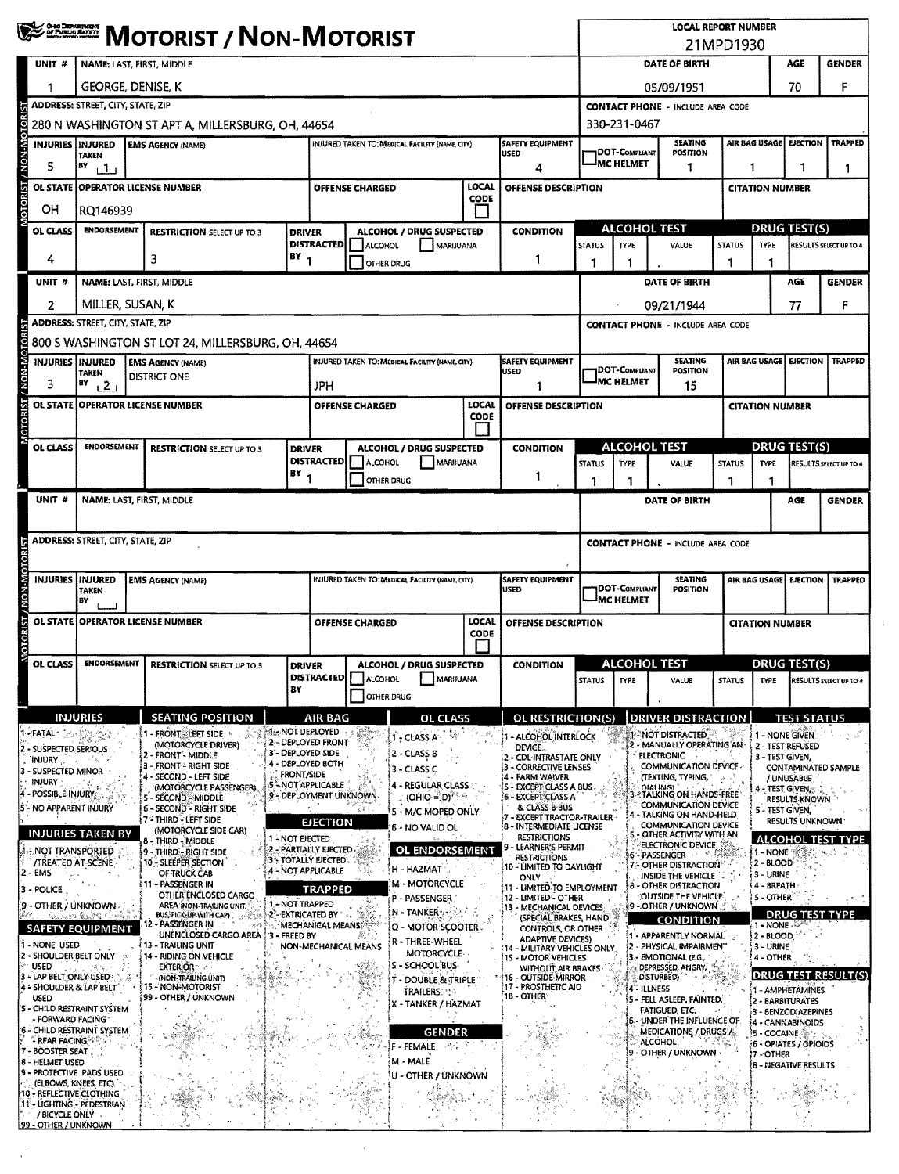|                                                                                                  | <b>WE DESCRIPT / NON-MOTORIST</b>                                                                             |                                                    |                                                                      |                   |                                                                                                  |                                                                                                                                                                                                                                                                                                                                                     |                                                          |                                        |                                                          | <b>LOCAL REPORT NUMBER</b><br>21MPD1930                                                                                                                     |                                                                              |                                               |                                                                                                    |               |                                                    |                                                |                                                                     |  |  |
|--------------------------------------------------------------------------------------------------|---------------------------------------------------------------------------------------------------------------|----------------------------------------------------|----------------------------------------------------------------------|-------------------|--------------------------------------------------------------------------------------------------|-----------------------------------------------------------------------------------------------------------------------------------------------------------------------------------------------------------------------------------------------------------------------------------------------------------------------------------------------------|----------------------------------------------------------|----------------------------------------|----------------------------------------------------------|-------------------------------------------------------------------------------------------------------------------------------------------------------------|------------------------------------------------------------------------------|-----------------------------------------------|----------------------------------------------------------------------------------------------------|---------------|----------------------------------------------------|------------------------------------------------|---------------------------------------------------------------------|--|--|
| UNIT #                                                                                           | NAME: LAST, FIRST, MIDDLE                                                                                     |                                                    |                                                                      |                   |                                                                                                  |                                                                                                                                                                                                                                                                                                                                                     |                                                          |                                        |                                                          |                                                                                                                                                             | DATE OF BIRTH<br>AGE<br><b>GENDER</b>                                        |                                               |                                                                                                    |               |                                                    |                                                |                                                                     |  |  |
|                                                                                                  | George, Denise, K                                                                                             |                                                    |                                                                      |                   |                                                                                                  |                                                                                                                                                                                                                                                                                                                                                     |                                                          |                                        |                                                          |                                                                                                                                                             |                                                                              | 70<br>05/09/1951                              |                                                                                                    |               |                                                    |                                                |                                                                     |  |  |
|                                                                                                  | <b>ADDRESS: STREET, CITY, STATE, ZIP</b>                                                                      |                                                    |                                                                      |                   |                                                                                                  |                                                                                                                                                                                                                                                                                                                                                     |                                                          |                                        |                                                          |                                                                                                                                                             | <b>CONTACT PHONE - INCLUDE AREA CODE</b>                                     |                                               |                                                                                                    |               |                                                    |                                                |                                                                     |  |  |
| čξ                                                                                               | 280 N WASHINGTON ST APT A, MILLERSBURG, OH, 44654                                                             |                                                    |                                                                      |                   |                                                                                                  |                                                                                                                                                                                                                                                                                                                                                     |                                                          |                                        |                                                          |                                                                                                                                                             |                                                                              |                                               | 330-231-0467                                                                                       |               |                                                    |                                                |                                                                     |  |  |
| <b>UN MON</b><br><b>INJURIES</b>                                                                 | INJURED TAKEN TO: MEDICAL FACILITY (NAME, CITY)<br><b>INJURED</b><br><b>EMS AGENCY (NAME)</b><br><b>TAKEN</b> |                                                    |                                                                      |                   |                                                                                                  |                                                                                                                                                                                                                                                                                                                                                     |                                                          | <b>SAFETY EQUIPMENT</b><br><b>USED</b> |                                                          |                                                                                                                                                             | <b>DOT-COMPLIANT</b>                                                         | <b>SEATING</b><br>POSITION                    |                                                                                                    | AIR BAG USAGE | <b>EJECTION</b>                                    | <b>TRAPPED</b>                                 |                                                                     |  |  |
| 5                                                                                                | BY<br>111                                                                                                     |                                                    |                                                                      |                   |                                                                                                  |                                                                                                                                                                                                                                                                                                                                                     |                                                          |                                        | 4                                                        |                                                                                                                                                             |                                                                              | MC HELMET                                     | 1                                                                                                  |               | 1                                                  | 1<br>1                                         |                                                                     |  |  |
| <b>MOTORIST</b><br>OL STATE                                                                      | LOCAL<br><b>OPERATOR LICENSE NUMBER</b><br><b>OFFENSE CHARGED</b><br>OFFENSE DESCRIPTION<br><b>CODE</b>       |                                                    |                                                                      |                   |                                                                                                  |                                                                                                                                                                                                                                                                                                                                                     |                                                          |                                        |                                                          |                                                                                                                                                             |                                                                              |                                               |                                                                                                    |               | <b>CITATION NUMBER</b>                             |                                                |                                                                     |  |  |
| OН                                                                                               | RQ146939                                                                                                      |                                                    |                                                                      |                   |                                                                                                  |                                                                                                                                                                                                                                                                                                                                                     |                                                          |                                        |                                                          |                                                                                                                                                             |                                                                              |                                               |                                                                                                    |               |                                                    |                                                |                                                                     |  |  |
| <b>OL CLASS</b>                                                                                  | <b>ENDORSEMENT</b>                                                                                            | <b>RESTRICTION SELECT UP TO 3</b><br><b>DRIVER</b> |                                                                      |                   | <b>DISTRACTED</b>                                                                                | ALCOHOL                                                                                                                                                                                                                                                                                                                                             | ALCOHOL / DRUG SUSPECTED                                 | MARIJUANA                              | <b>CONDITION</b>                                         |                                                                                                                                                             | <b>STATUS</b>                                                                | <b>ALCOHOL TEST</b><br><b>TYPE</b>            | VALUE                                                                                              | <b>STATUS</b> |                                                    |                                                | <b>DRUG TEST(S)</b><br><b>RESULTS SELECT UP TO 4</b><br><b>TYPE</b> |  |  |
| 4                                                                                                |                                                                                                               | $BY_1$<br>з                                        |                                                                      |                   |                                                                                                  |                                                                                                                                                                                                                                                                                                                                                     | OTHER DRUG                                               |                                        | 1                                                        |                                                                                                                                                             |                                                                              |                                               |                                                                                                    | 1             |                                                    |                                                |                                                                     |  |  |
| UNIT#                                                                                            |                                                                                                               |                                                    | NAME: LAST, FIRST, MIDDLE                                            |                   |                                                                                                  |                                                                                                                                                                                                                                                                                                                                                     |                                                          |                                        |                                                          |                                                                                                                                                             | DATE OF BIRTH                                                                |                                               |                                                                                                    |               |                                                    | AGE                                            | <b>GENDER</b>                                                       |  |  |
| 2                                                                                                | MILLER, SUSAN, K                                                                                              |                                                    |                                                                      |                   |                                                                                                  |                                                                                                                                                                                                                                                                                                                                                     |                                                          |                                        |                                                          |                                                                                                                                                             |                                                                              |                                               | 09/21/1944                                                                                         |               |                                                    | 77                                             | F                                                                   |  |  |
|                                                                                                  | <b>ADDRESS: STREET, CITY, STATE, ZIP</b>                                                                      |                                                    |                                                                      |                   |                                                                                                  |                                                                                                                                                                                                                                                                                                                                                     |                                                          |                                        |                                                          |                                                                                                                                                             |                                                                              |                                               | <b>CONTACT PHONE - INCLUDE AREA CODE</b>                                                           |               |                                                    |                                                |                                                                     |  |  |
|                                                                                                  |                                                                                                               |                                                    | 800 S WASHINGTON ST LOT 24, MILLERSBURG, OH, 44654                   |                   |                                                                                                  |                                                                                                                                                                                                                                                                                                                                                     |                                                          |                                        |                                                          |                                                                                                                                                             |                                                                              |                                               |                                                                                                    |               |                                                    |                                                |                                                                     |  |  |
| <b>INJURIES IINJURED</b><br>3                                                                    | <b>TAKEN</b><br>87<br>121                                                                                     |                                                    | <b>EMS AGENCY (NAME)</b><br><b>DISTRICT ONE</b>                      |                   | JPH                                                                                              |                                                                                                                                                                                                                                                                                                                                                     | INJURED TAKEN TO: MEDICAL FACILITY (NAME, CITY)          |                                        | <b>SAFETY EQUIPMENT</b><br><b>USED</b><br>1              |                                                                                                                                                             |                                                                              | DOT-Compliant<br><b>J<sub>MC HELMET</sub></b> | <b>SEATING</b><br>POSITION<br>15                                                                   |               | AIR BAG USAGE                                      | <b>EJECTION</b>                                | <b>TRAPPED</b>                                                      |  |  |
| MOTORIST / NON-MOTORIST                                                                          |                                                                                                               |                                                    | OL STATE OPERATOR LICENSE NUMBER                                     |                   |                                                                                                  | <b>OFFENSE CHARGED</b>                                                                                                                                                                                                                                                                                                                              |                                                          | LOCAL<br><b>CODE</b>                   |                                                          | OFFENSE DESCRIPTION                                                                                                                                         |                                                                              |                                               |                                                                                                    |               | <b>CITATION NUMBER</b>                             |                                                |                                                                     |  |  |
| OL CLASS                                                                                         | <b>ENDORSEMENT</b>                                                                                            |                                                    | <b>RESTRICTION SELECT UP TO 3</b>                                    | <b>DRIVER</b>     |                                                                                                  |                                                                                                                                                                                                                                                                                                                                                     | ALCOHOL / DRUG SUSPECTED                                 |                                        | <b>CONDITION</b>                                         |                                                                                                                                                             |                                                                              | <b>ALCOHOL TEST</b>                           |                                                                                                    |               | <b>DRUG TEST(S)</b>                                |                                                |                                                                     |  |  |
|                                                                                                  |                                                                                                               |                                                    |                                                                      |                   | <b>DISTRACTED</b>                                                                                | <b>ALCOHOL</b>                                                                                                                                                                                                                                                                                                                                      |                                                          | MARJJUANA                              |                                                          |                                                                                                                                                             | <b>STATUS</b>                                                                | <b>TYPE</b>                                   | VALUE                                                                                              | <b>STATUS</b> | TYPE                                               |                                                | RESULTS SELECT UP TO 4                                              |  |  |
|                                                                                                  |                                                                                                               |                                                    |                                                                      | $BY$ <sub>1</sub> |                                                                                                  |                                                                                                                                                                                                                                                                                                                                                     | <b>OTHER DRUG</b>                                        |                                        | 1                                                        |                                                                                                                                                             | 1<br>1                                                                       |                                               |                                                                                                    | 1             | 1                                                  |                                                |                                                                     |  |  |
| UNIT #                                                                                           | NAME: LAST, FIRST, MIDDLE<br>DATE OF BIRTH<br>AGE<br><b>GENDER</b>                                            |                                                    |                                                                      |                   |                                                                                                  |                                                                                                                                                                                                                                                                                                                                                     |                                                          |                                        |                                                          |                                                                                                                                                             |                                                                              |                                               |                                                                                                    |               |                                                    |                                                |                                                                     |  |  |
|                                                                                                  | ADDRESS: STREET, CITY, STATE, ZIP                                                                             |                                                    |                                                                      |                   |                                                                                                  |                                                                                                                                                                                                                                                                                                                                                     |                                                          |                                        |                                                          |                                                                                                                                                             |                                                                              | <b>CONTACT PHONE - INCLUDE AREA CODE</b>      |                                                                                                    |               |                                                    |                                                |                                                                     |  |  |
|                                                                                                  |                                                                                                               |                                                    |                                                                      |                   |                                                                                                  |                                                                                                                                                                                                                                                                                                                                                     |                                                          |                                        |                                                          |                                                                                                                                                             |                                                                              |                                               |                                                                                                    |               |                                                    |                                                |                                                                     |  |  |
| <b>INJURIES</b>                                                                                  | INJURED<br><b>TAKEN</b><br>BY                                                                                 |                                                    | <b>EMS AGENCY (NAME)</b>                                             |                   | <b>SAFETY EQUIPMENT</b><br><b>INJURED TAKEN TO: MEDICAL FACILITY (NAME, CITY)</b><br><b>USED</b> |                                                                                                                                                                                                                                                                                                                                                     |                                                          |                                        |                                                          |                                                                                                                                                             | <b>SEATING</b><br>DOT-COMPLIANT<br><b>POSITION</b><br><sup>I</sup> MC HELMET |                                               |                                                                                                    |               | AIR BAG USAGE<br><b>EJECTION</b><br><b>TRAPPED</b> |                                                |                                                                     |  |  |
| OTORIST / NON-MO<br><b>OL STATE</b>                                                              |                                                                                                               |                                                    | <b>OPERATOR LICENSE NUMBER</b>                                       |                   | LOCAL<br>OFFENSE CHARGED<br>OFFENSE DESCRIPTION<br><b>CODE</b>                                   |                                                                                                                                                                                                                                                                                                                                                     |                                                          |                                        |                                                          |                                                                                                                                                             | <b>CITATION NUMBER</b>                                                       |                                               |                                                                                                    |               |                                                    |                                                |                                                                     |  |  |
| OL CLASS                                                                                         | <b>ENDORSEMENT</b>                                                                                            |                                                    | <b>RESTRICTION SELECT UP TO 3</b>                                    |                   | ALCOHOL / DRUG SUSPECTED<br><b>DRIVER</b>                                                        |                                                                                                                                                                                                                                                                                                                                                     |                                                          |                                        | <b>CONDITION</b>                                         |                                                                                                                                                             | ALCOHOL TEST                                                                 |                                               |                                                                                                    |               |                                                    | DRUG TEST(S)                                   |                                                                     |  |  |
|                                                                                                  |                                                                                                               |                                                    |                                                                      | B٢                |                                                                                                  |                                                                                                                                                                                                                                                                                                                                                     | <b>DISTRACTED</b> ALCOHOL MARIJUANA<br><b>OTHER DRUG</b> |                                        |                                                          |                                                                                                                                                             | <b>STATUS</b>                                                                | TYPE                                          | VALUE                                                                                              |               |                                                    |                                                | STATUS TYPE RESULTS SELECT UP TO 4                                  |  |  |
|                                                                                                  | <b>INJURIES</b>                                                                                               |                                                    | <b>SEATING POSITION</b>                                              |                   | <b>AIR BAG</b>                                                                                   |                                                                                                                                                                                                                                                                                                                                                     | <b>OL CLASS</b>                                          |                                        |                                                          | OL RESTRICTION(S)                                                                                                                                           |                                                                              |                                               | <b>DRIVER DISTRACTION</b>                                                                          |               |                                                    | <b>TEST STATUS</b>                             |                                                                     |  |  |
| 1 <b>:FATAL</b> : Monther<br>2 - SUSPECTED SERIOUS                                               |                                                                                                               |                                                    | 1 - FRONT - LEFT SIDE<br>(MOTORCYCLE DRIVER)                         |                   | <b>Mig-NOT DEPLOYED</b><br>2 - DEPLOYED FRONT                                                    | $\begin{picture}(20,20) \put(0,0){\line(1,0){10}} \put(15,0){\line(1,0){10}} \put(15,0){\line(1,0){10}} \put(15,0){\line(1,0){10}} \put(15,0){\line(1,0){10}} \put(15,0){\line(1,0){10}} \put(15,0){\line(1,0){10}} \put(15,0){\line(1,0){10}} \put(15,0){\line(1,0){10}} \put(15,0){\line(1,0){10}} \put(15,0){\line(1,0){10}} \put(15,0){\line(1$ | 1 - CLASS A                                              |                                        | DEVICE.                                                  | - ALCOHOL INTERLOCK                                                                                                                                         |                                                                              |                                               | 1-NOT DISTRACTED.<br>2 - MANUALLY OPERATING AN                                                     |               |                                                    | 1 - NONE GIVEN<br>2 - TEST REFUSED             |                                                                     |  |  |
| INJURY<br>3 - SUSPECTED MINOR                                                                    |                                                                                                               |                                                    | 2 - FRONT - MIDDLE<br>3 - FRONT - RIGHT SIDE                         |                   | 3'- DEPLOYED SIDE<br>4 - DEPLOYED BOTH                                                           |                                                                                                                                                                                                                                                                                                                                                     | 2 - CLASS B<br>3 - CLASS C                               |                                        | 2 - CDL-INTRASTATE ONLY<br>îЗ                            | - CORRECTIVE LENSES                                                                                                                                         |                                                                              |                                               | <b>ELECTRONIC</b><br>COMMUNICATION DEVICE                                                          |               | 3 - TEST GIVEN.                                    |                                                | <b>CONTAMINATED SAMPLE</b>                                          |  |  |
| INJURY<br>4 - POSSIBLE-INJURY                                                                    |                                                                                                               |                                                    | SÉCOND - LEFT SIDE<br>(MOTORCYCLE PASSENGER)                         |                   | <b>FRONT/SIDE</b><br>5 <sup>4</sup> NOT APPLICABLE<br>4 - REGULAR CLASS                          |                                                                                                                                                                                                                                                                                                                                                     |                                                          |                                        |                                                          | 4 - FARM WAIVER<br>(TEXTING, TYPING,<br>- EXCEPT CLASS A BUS.<br>ξ5.<br><b>DIALING</b><br>4 - TEST GIVEN.<br>: TALKING ON HANDS-FREE<br>16 - EXCEPTICLASS A |                                                                              |                                               |                                                                                                    |               | / UNUSABLE                                         |                                                |                                                                     |  |  |
| 5'- NO APPARENT INJURY                                                                           |                                                                                                               |                                                    | - SECOND - MIDDLE<br><b>6 - SECOND - RIGHT SIDE</b>                  |                   | 9 - DEPLOYMENT UNKNOWN<br>$(OHIO = D)^{7+\alpha}$<br>(美)<br>5 - M/C MOPED ONLY                   |                                                                                                                                                                                                                                                                                                                                                     |                                                          |                                        |                                                          | & CLASS B BUS<br><b>EXCEPT TRACTOR-TRAILER</b>                                                                                                              |                                                                              |                                               | <b>COMMUNICATION DEVICE</b><br>TALKING ON HAND-HELD                                                |               |                                                    | <b>RESULTS KNOWN</b><br><b>5 - TEST GIVEN.</b> |                                                                     |  |  |
| <b>INJURIES TAKEN BY</b>                                                                         |                                                                                                               |                                                    | <b>7 - THIRD - LEFT SIDE</b><br>(MOTORCYCLE SIDE CAR)                | 1 - NOT EJECTED   | <b>EJECTION</b>                                                                                  |                                                                                                                                                                                                                                                                                                                                                     | 6 - NO VALID OL                                          |                                        | 8 - INTERMEDIATE LICENSE                                 | <b>RESTRICTIONS</b>                                                                                                                                         |                                                                              |                                               | <b>COMMUNICATION DEVICE</b><br>OTHER ACTIVITY WITH AN                                              |               |                                                    | RESULTS UNKNOWN                                | <b>ALCOHOL TEST TYPE</b>                                            |  |  |
| NOT TRANSPORTED.<br><b>/TREATED AT SCENE</b>                                                     |                                                                                                               |                                                    | 8 - THIRD - MIDDLE<br>9 - THIRD - RIGHT SIDE<br>10 - SLEEPER SECTION |                   | 2 - PARTIALLY EJECTED<br>3 - TOTALLY EJECTED.                                                    |                                                                                                                                                                                                                                                                                                                                                     | OL ENDORSEMENT                                           |                                        |                                                          | LEARNER'S PERMIT<br><b>RESTRICTIONS</b>                                                                                                                     |                                                                              |                                               | ELECTRONIC DEVICE<br>16 - PASSENGER                                                                |               | 1 - NONE                                           |                                                |                                                                     |  |  |
| 2 - EMS                                                                                          |                                                                                                               |                                                    | OF TRUCK CAB<br>11 - PASSENGER IN                                    |                   | 4 - NOT APPLICABLE                                                                               |                                                                                                                                                                                                                                                                                                                                                     | H - HAZMAT<br><b>M - MOTORCYCLE</b>                      |                                        | 10 - LIMITED TO DAYLIGHT<br>ONLY                         |                                                                                                                                                             |                                                                              |                                               | 7 - OTHER DISTRACTION<br>INSIDE THE VEHICLE                                                        |               | 2 - BLOOD<br>3 - URINE                             |                                                |                                                                     |  |  |
| $3 - \text{POLICE}$<br>9 - OTHER / UNKNOWN -                                                     |                                                                                                               |                                                    | OTHER ENCLOSED CARGO<br>AREA (NON-TRAILING UNIT,                     |                   | <b>TRAPPED</b><br>1 - NOT TRAPPED                                                                |                                                                                                                                                                                                                                                                                                                                                     | P - PASSENGER                                            |                                        | 11 - LIMITED TO EMPLOYMENT<br>12 - LIMITED - OTHER       |                                                                                                                                                             |                                                                              |                                               | 8 - OTHER DISTRACTION<br>OUTSIDE THE VEHICLE                                                       |               | 4 - BREATH<br><b>S-OTHER</b>                       |                                                |                                                                     |  |  |
| جاريا                                                                                            | San Juara Baddhi C                                                                                            |                                                    | BUS, PICK-UP WITH CAP).<br>i Co<br>12 - PASSENGER IN                 |                   | 2-EXTRICATED BY<br>MECHANICAL MEANS                                                              |                                                                                                                                                                                                                                                                                                                                                     | <b>N - TANKER</b><br>Q - MOTOR SCOOTER                   |                                        | 13 - MECHANICAL DEVICES                                  | (SPECIAL BRAKES, HAND                                                                                                                                       |                                                                              |                                               | 9 - OTHER / UNKNOWN<br><b>CONDITION</b>                                                            |               | 1 - NONE                                           | <b>DRUG TEST TYPE</b>                          |                                                                     |  |  |
| <b>SAFETY EQUIPMENT</b><br>1 - NONE USED                                                         |                                                                                                               |                                                    | UNENCLOSED CARGO AREA<br>13 - TRAILING UNIT                          | 3 - FREED BY      |                                                                                                  | <b>NON-MECHANICAL MEANS</b>                                                                                                                                                                                                                                                                                                                         | R - THREE-WHEEL                                          |                                        | <b>14 - MILITARY VEHICLES ONLY</b>                       | CONTROLS, OR OTHER<br><b>ADAPTIVE DEVICES)</b>                                                                                                              |                                                                              |                                               | 1 - APPARENTLY NORMAL<br>2 - PHYSICAL IMPAIRMENT                                                   |               | 2 - BLOOD<br>3 - URINE                             |                                                |                                                                     |  |  |
| 2 - SHOULDER BELT ONLY<br>™ USED                                                                 |                                                                                                               |                                                    | 14 - RIDING ON VEHICLE<br><b>EXTERIOR</b>                            |                   |                                                                                                  |                                                                                                                                                                                                                                                                                                                                                     | <b>MOTORCYCLE-</b><br>IS - SCHOOL BUS-                   |                                        | 1S - MOTOR VEHICLES                                      | WITHOUT, AIR BRAKES                                                                                                                                         |                                                                              |                                               | 3 - EMOTIONAL (E.G.,<br>DEPRESSED, ANGRY,                                                          |               | 4 OTHER                                            |                                                |                                                                     |  |  |
| 3 - LAP BELT ONLY USED<br>4 - SHOULDER & LAP BELT                                                |                                                                                                               |                                                    | (NON-TRAILING UNIT)<br>15 - NON-MOTORIST<br>99 - OTHER / UNKNOWN     |                   |                                                                                                  | emente e                                                                                                                                                                                                                                                                                                                                            | T - DOUBLE & TRIPLE<br><b>TRAILERS: 196</b>              |                                        | 16 - OUTSIDE MIRROR<br>17 - PROSTHETIC AID<br>18 - OTHER |                                                                                                                                                             |                                                                              | 14° ILLNESS                                   | <b>DISTURBED)</b>                                                                                  |               |                                                    | 1 - AMPHETAMINES                               | <b>DRUG TEST RESULT(S)</b>                                          |  |  |
| USED<br>5 - CHILD RESTRAINT SYSTEM<br>- FORWARD FACING ·                                         |                                                                                                               |                                                    |                                                                      |                   |                                                                                                  |                                                                                                                                                                                                                                                                                                                                                     | X - TANKER / HAZMAT                                      |                                        |                                                          |                                                                                                                                                             |                                                                              |                                               | 5 - FELL ASLEEP, FAINTED,<br><b>FATIGUED, ETC.</b>                                                 |               |                                                    | 2 - BARBITURATES<br>3 - BENZODIAZEPINES        |                                                                     |  |  |
| 6 - CHILD RESTRAINT SYSTEM<br>- REAR FACING<br>7 - BOOSTER SEAT,                                 |                                                                                                               |                                                    |                                                                      |                   |                                                                                                  |                                                                                                                                                                                                                                                                                                                                                     | <b>GENDER</b><br>F - FEMALE<br>79. E                     |                                        |                                                          |                                                                                                                                                             |                                                                              |                                               | <b>6 - UNDER THE INFLUENCE OF</b><br>MEDICATIONS / DRUGS /<br><b>ALCOHOL:</b><br>- OTHER / UNKNOWN |               | 多 - COCAINE ③ ~<br>!7 - OTHER                      | 4 - CANNABINOIDS<br>6 - OPIATES / OPIOIDS      |                                                                     |  |  |
| 8 - HELMET USED<br>9 - PROTECTIVE PADS USED<br>(ELBOWS, KNEES, ETC).<br>10 - REFLECTIVE CLOTHING |                                                                                                               |                                                    |                                                                      |                   |                                                                                                  |                                                                                                                                                                                                                                                                                                                                                     | M - MALE<br>U - OTHER / ÚNKNOWN                          |                                        |                                                          |                                                                                                                                                             |                                                                              |                                               |                                                                                                    |               |                                                    | (8 - NEGATIVE RÉSULTS                          |                                                                     |  |  |
| 11 - LIGHTING - PEDESTRIAN<br>/ BICYCLE ONLY .<br>99 - OTHER / UNKNOWN                           |                                                                                                               |                                                    |                                                                      |                   |                                                                                                  |                                                                                                                                                                                                                                                                                                                                                     |                                                          |                                        |                                                          |                                                                                                                                                             |                                                                              |                                               |                                                                                                    |               |                                                    |                                                |                                                                     |  |  |

 $\hat{\boldsymbol{\beta}}$ 

 $\mathcal{L}_{\mathcal{A}}$